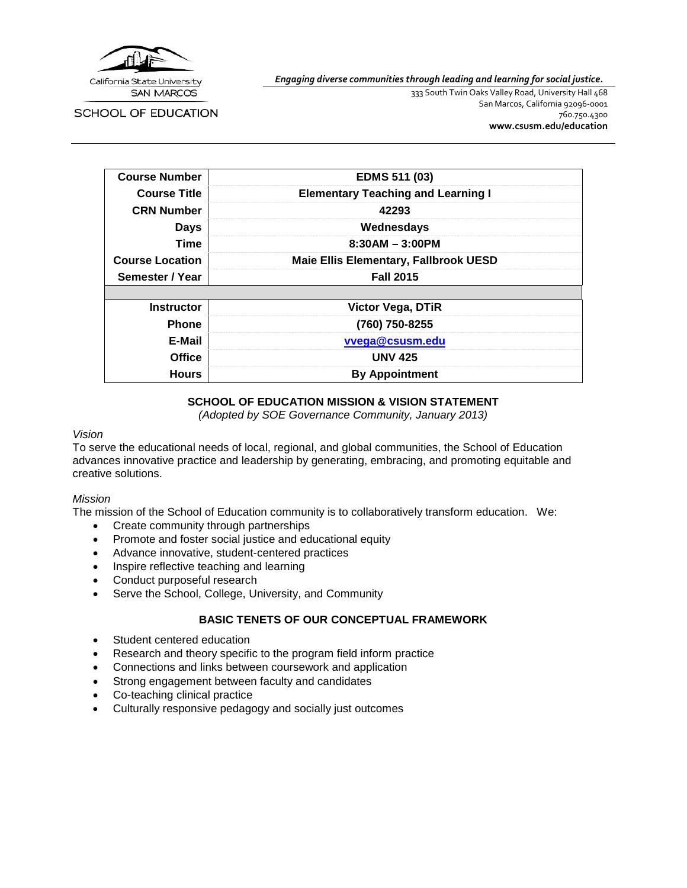

*Engaging diverse communities through leading and learning for social justice.*

SCHOOL OF EDUCATION

333 South Twin Oaks Valley Road, University Hall 468 San Marcos, California 92096-0001 760.750.4300 **[www.csusm.edu/education](http://www.csusm.edu/education)**

| <b>Course Number</b>   | <b>EDMS 511 (03)</b>                         |
|------------------------|----------------------------------------------|
| <b>Course Title</b>    | <b>Elementary Teaching and Learning I</b>    |
| <b>CRN Number</b>      | 42293                                        |
| <b>Days</b>            | Wednesdays                                   |
| <b>Time</b>            | $8:30AM - 3:00PM$                            |
| <b>Course Location</b> | <b>Maie Ellis Elementary, Fallbrook UESD</b> |
| Semester / Year        | <b>Fall 2015</b>                             |
|                        |                                              |
| <b>Instructor</b>      | <b>Victor Vega, DTIR</b>                     |
| <b>Phone</b>           | (760) 750-8255                               |
| E-Mail                 | vvega@csusm.edu                              |
| Office                 | <b>UNV 425</b>                               |
| <b>Hours</b>           | <b>By Appointment</b>                        |

## **SCHOOL OF EDUCATION MISSION & VISION STATEMENT**

*(Adopted by SOE Governance Community, January 2013)*

### *Vision*

To serve the educational needs of local, regional, and global communities, the School of Education advances innovative practice and leadership by generating, embracing, and promoting equitable and creative solutions.

### *Mission*

The mission of the School of Education community is to collaboratively transform education. We:

- Create community through partnerships
- Promote and foster social justice and educational equity
- Advance innovative, student-centered practices
- Inspire reflective teaching and learning
- Conduct purposeful research
- Serve the School, College, University, and Community

## **BASIC TENETS OF OUR CONCEPTUAL FRAMEWORK**

- Student centered education
- Research and theory specific to the program field inform practice
- Connections and links between coursework and application
- Strong engagement between faculty and candidates
- Co-teaching clinical practice
- Culturally responsive pedagogy and socially just outcomes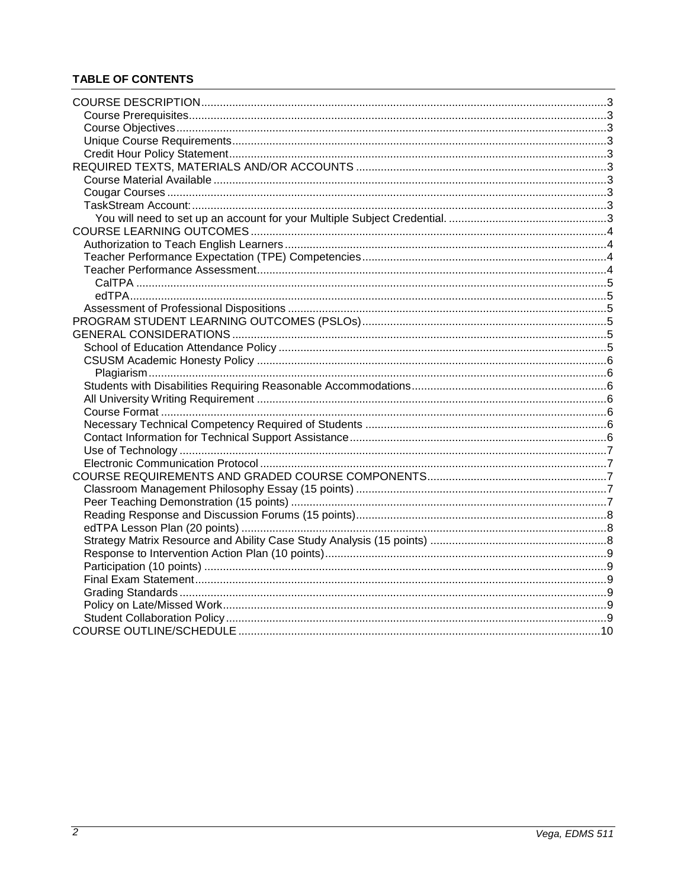# **TABLE OF CONTENTS**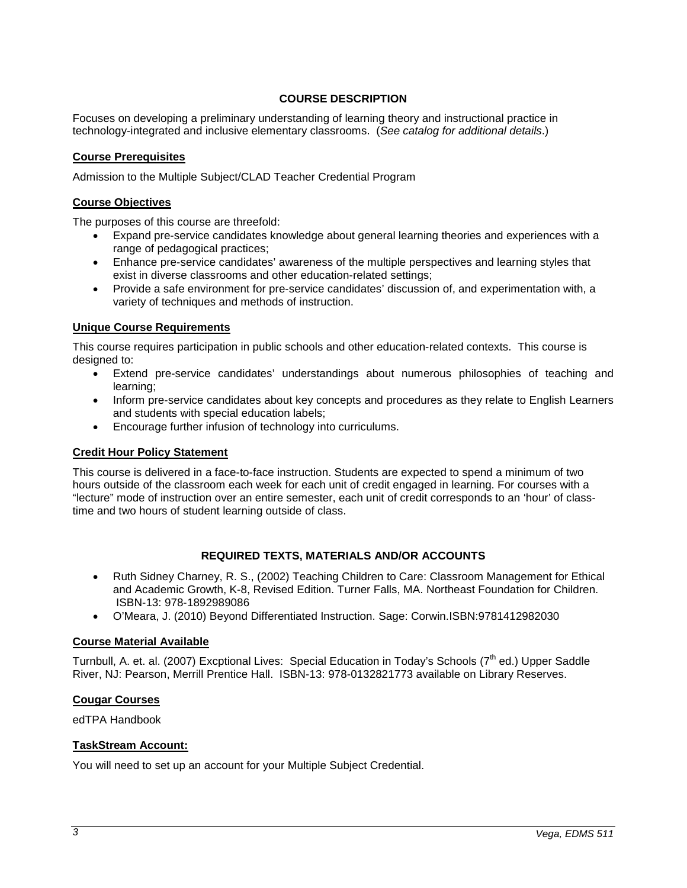## **COURSE DESCRIPTION**

<span id="page-2-0"></span>Focuses on developing a preliminary understanding of learning theory and instructional practice in technology-integrated and inclusive elementary classrooms. (*See catalog for additional details*.)

### <span id="page-2-1"></span>**Course Prerequisites**

Admission to the Multiple Subject/CLAD Teacher Credential Program

### <span id="page-2-2"></span>**Course Objectives**

The purposes of this course are threefold:

- Expand pre-service candidates knowledge about general learning theories and experiences with a range of pedagogical practices;
- Enhance pre-service candidates' awareness of the multiple perspectives and learning styles that exist in diverse classrooms and other education-related settings;
- Provide a safe environment for pre-service candidates' discussion of, and experimentation with, a variety of techniques and methods of instruction.

### <span id="page-2-3"></span>**Unique Course Requirements**

This course requires participation in public schools and other education-related contexts. This course is designed to:

- Extend pre-service candidates' understandings about numerous philosophies of teaching and learning;
- Inform pre-service candidates about key concepts and procedures as they relate to English Learners and students with special education labels;
- Encourage further infusion of technology into curriculums.

### <span id="page-2-4"></span>**Credit Hour Policy Statement**

This course is delivered in a face-to-face instruction. Students are expected to spend a minimum of two hours outside of the classroom each week for each unit of credit engaged in learning. For courses with a "lecture" mode of instruction over an entire semester, each unit of credit corresponds to an 'hour' of classtime and two hours of student learning outside of class.

## **REQUIRED TEXTS, MATERIALS AND/OR ACCOUNTS**

- <span id="page-2-5"></span>• Ruth Sidney Charney, R. S., (2002) Teaching Children to Care: Classroom Management for Ethical and Academic Growth, K-8, Revised Edition. Turner Falls, MA. Northeast Foundation for Children. ISBN-13: 978-1892989086
- O'Meara, J. (2010) Beyond Differentiated Instruction. Sage: Corwin.ISBN:9781412982030

### <span id="page-2-6"></span>**Course Material Available**

Turnbull, A. et. al. (2007) Excptional Lives: Special Education in Today's Schools (7<sup>th</sup> ed.) Upper Saddle River, NJ: Pearson, Merrill Prentice Hall. ISBN-13: 978-0132821773 available on Library Reserves.

### <span id="page-2-7"></span>**Cougar Courses**

edTPA Handbook

### <span id="page-2-8"></span>**TaskStream Account:**

<span id="page-2-9"></span>You will need to set up an account for your Multiple Subject Credential.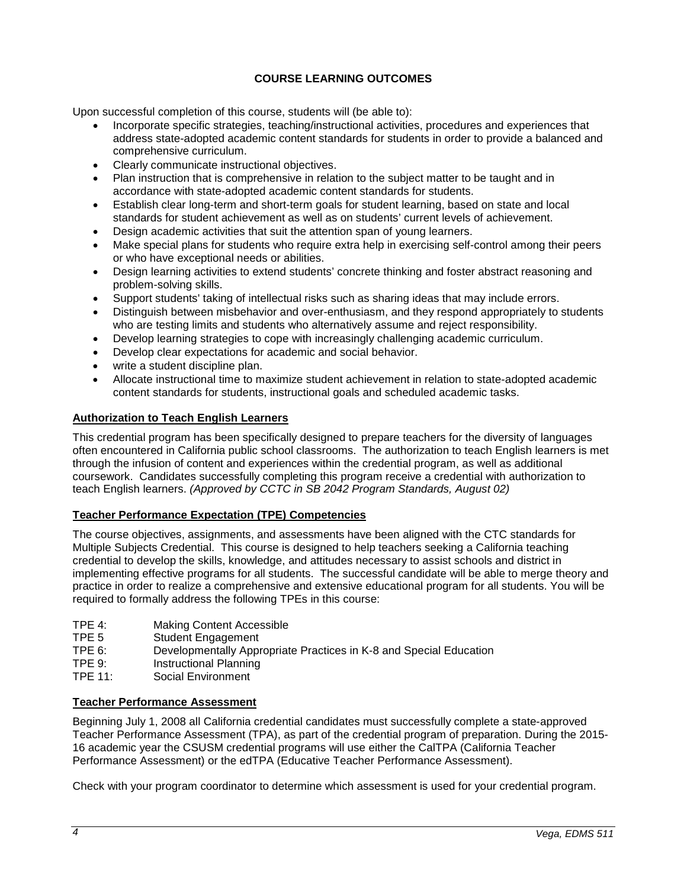## **COURSE LEARNING OUTCOMES**

<span id="page-3-0"></span>Upon successful completion of this course, students will (be able to):

- Incorporate specific strategies, teaching/instructional activities, procedures and experiences that address state-adopted academic content standards for students in order to provide a balanced and comprehensive curriculum.
- Clearly communicate instructional objectives.
- Plan instruction that is comprehensive in relation to the subject matter to be taught and in accordance with state-adopted academic content standards for students.
- Establish clear long-term and short-term goals for student learning, based on state and local standards for student achievement as well as on students' current levels of achievement.
- Design academic activities that suit the attention span of young learners.
- Make special plans for students who require extra help in exercising self-control among their peers or who have exceptional needs or abilities.
- Design learning activities to extend students' concrete thinking and foster abstract reasoning and problem-solving skills.
- Support students' taking of intellectual risks such as sharing ideas that may include errors.
- Distinguish between misbehavior and over-enthusiasm, and they respond appropriately to students who are testing limits and students who alternatively assume and reject responsibility.
- Develop learning strategies to cope with increasingly challenging academic curriculum.
- Develop clear expectations for academic and social behavior.
- write a student discipline plan.
- Allocate instructional time to maximize student achievement in relation to state-adopted academic content standards for students, instructional goals and scheduled academic tasks.

### <span id="page-3-1"></span>**Authorization to Teach English Learners**

This credential program has been specifically designed to prepare teachers for the diversity of languages often encountered in California public school classrooms. The authorization to teach English learners is met through the infusion of content and experiences within the credential program, as well as additional coursework. Candidates successfully completing this program receive a credential with authorization to teach English learners. *(Approved by CCTC in SB 2042 Program Standards, August 02)*

## <span id="page-3-2"></span>**Teacher Performance Expectation (TPE) Competencies**

The course objectives, assignments, and assessments have been aligned with the CTC standards for Multiple Subjects Credential. This course is designed to help teachers seeking a California teaching credential to develop the skills, knowledge, and attitudes necessary to assist schools and district in implementing effective programs for all students. The successful candidate will be able to merge theory and practice in order to realize a comprehensive and extensive educational program for all students. You will be required to formally address the following TPEs in this course:

- TPE 4: Making Content Accessible
- TPE 5 Student Engagement<br>TPE 6: Developmentally Appr
- Developmentally Appropriate Practices in K-8 and Special Education
- TPE 9: Instructional Planning
- TPE 11: Social Environment

## <span id="page-3-3"></span>**Teacher Performance Assessment**

Beginning July 1, 2008 all California credential candidates must successfully complete a state-approved Teacher Performance Assessment (TPA), as part of the credential program of preparation. During the 2015- 16 academic year the CSUSM credential programs will use either the CalTPA (California Teacher Performance Assessment) or the edTPA (Educative Teacher Performance Assessment).

Check with your program coordinator to determine which assessment is used for your credential program.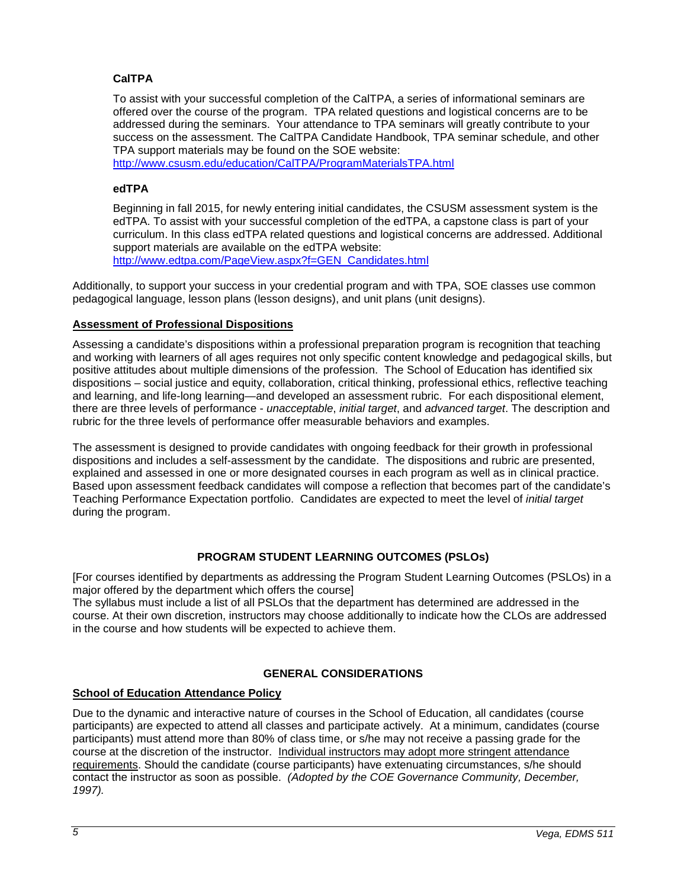## <span id="page-4-0"></span>**CalTPA**

To assist with your successful completion of the CalTPA, a series of informational seminars are offered over the course of the program. TPA related questions and logistical concerns are to be addressed during the seminars. Your attendance to TPA seminars will greatly contribute to your success on the assessment. The CalTPA Candidate Handbook, TPA seminar schedule, and other TPA support materials may be found on the SOE website:

<http://www.csusm.edu/education/CalTPA/ProgramMaterialsTPA.html>

### <span id="page-4-1"></span>**edTPA**

Beginning in fall 2015, for newly entering initial candidates, the CSUSM assessment system is the edTPA. To assist with your successful completion of the edTPA, a capstone class is part of your curriculum. In this class edTPA related questions and logistical concerns are addressed. Additional support materials are available on the edTPA website: [http://www.edtpa.com/PageView.aspx?f=GEN\\_Candidates.html](http://www.edtpa.com/PageView.aspx?f=GEN_Candidates.html)

Additionally, to support your success in your credential program and with TPA, SOE classes use common pedagogical language, lesson plans (lesson designs), and unit plans (unit designs).

### <span id="page-4-2"></span>**Assessment of Professional Dispositions**

Assessing a candidate's dispositions within a professional preparation program is recognition that teaching and working with learners of all ages requires not only specific content knowledge and pedagogical skills, but positive attitudes about multiple dimensions of the profession. The School of Education has identified six dispositions – social justice and equity, collaboration, critical thinking, professional ethics, reflective teaching and learning, and life-long learning—and developed an assessment rubric. For each dispositional element, there are three levels of performance - *unacceptable*, *initial target*, and *advanced target*. The description and rubric for the three levels of performance offer measurable behaviors and examples.

The assessment is designed to provide candidates with ongoing feedback for their growth in professional dispositions and includes a self-assessment by the candidate. The dispositions and rubric are presented, explained and assessed in one or more designated courses in each program as well as in clinical practice. Based upon assessment feedback candidates will compose a reflection that becomes part of the candidate's Teaching Performance Expectation portfolio. Candidates are expected to meet the level of *initial target* during the program.

## **PROGRAM STUDENT LEARNING OUTCOMES (PSLOs)**

<span id="page-4-3"></span>[For courses identified by departments as addressing the Program Student Learning Outcomes (PSLOs) in a major offered by the department which offers the course]

The syllabus must include a list of all PSLOs that the department has determined are addressed in the course. At their own discretion, instructors may choose additionally to indicate how the CLOs are addressed in the course and how students will be expected to achieve them.

## **GENERAL CONSIDERATIONS**

## <span id="page-4-5"></span><span id="page-4-4"></span>**School of Education Attendance Policy**

Due to the dynamic and interactive nature of courses in the School of Education, all candidates (course participants) are expected to attend all classes and participate actively. At a minimum, candidates (course participants) must attend more than 80% of class time, or s/he may not receive a passing grade for the course at the discretion of the instructor. Individual instructors may adopt more stringent attendance requirements. Should the candidate (course participants) have extenuating circumstances, s/he should contact the instructor as soon as possible. *(Adopted by the COE Governance Community, December, 1997).*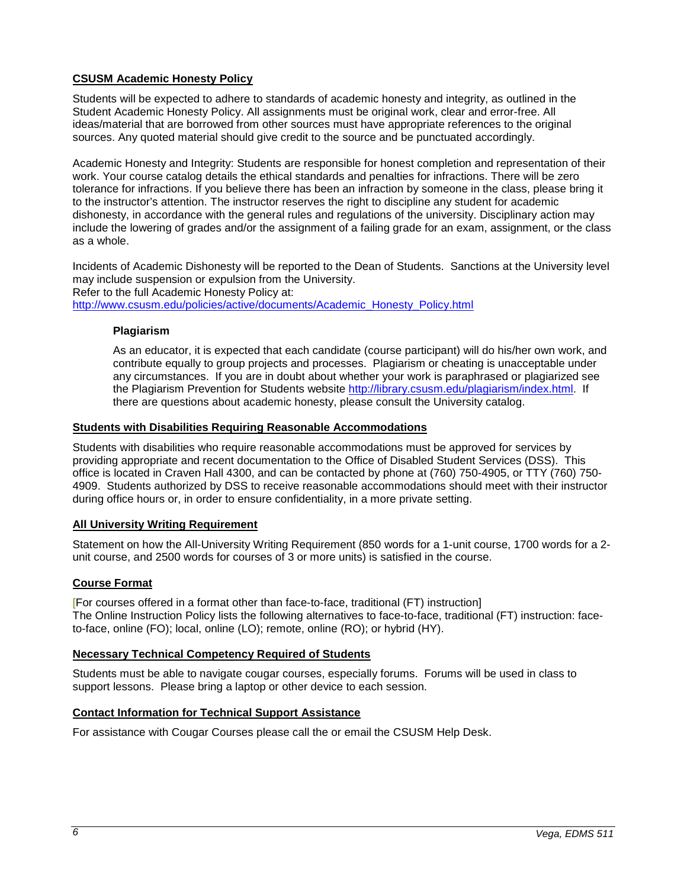## <span id="page-5-0"></span>**CSUSM Academic Honesty Policy**

Students will be expected to adhere to standards of academic honesty and integrity, as outlined in the Student Academic Honesty Policy. All assignments must be original work, clear and error-free. All ideas/material that are borrowed from other sources must have appropriate references to the original sources. Any quoted material should give credit to the source and be punctuated accordingly.

Academic Honesty and Integrity: Students are responsible for honest completion and representation of their work. Your course catalog details the ethical standards and penalties for infractions. There will be zero tolerance for infractions. If you believe there has been an infraction by someone in the class, please bring it to the instructor's attention. The instructor reserves the right to discipline any student for academic dishonesty, in accordance with the general rules and regulations of the university. Disciplinary action may include the lowering of grades and/or the assignment of a failing grade for an exam, assignment, or the class as a whole.

Incidents of Academic Dishonesty will be reported to the Dean of Students. Sanctions at the University level may include suspension or expulsion from the University. Refer to the full Academic Honesty Policy at: [http://www.csusm.edu/policies/active/documents/Academic\\_Honesty\\_Policy.html](http://www.csusm.edu/policies/active/documents/Academic_Honesty_Policy.html)

### <span id="page-5-1"></span>**Plagiarism**

As an educator, it is expected that each candidate (course participant) will do his/her own work, and contribute equally to group projects and processes. Plagiarism or cheating is unacceptable under any circumstances. If you are in doubt about whether your work is paraphrased or plagiarized see the Plagiarism Prevention for Students website [http://library.csusm.edu/plagiarism/index.html.](http://library.csusm.edu/plagiarism/index.html) If there are questions about academic honesty, please consult the University catalog.

### <span id="page-5-2"></span>**Students with Disabilities Requiring Reasonable Accommodations**

Students with disabilities who require reasonable accommodations must be approved for services by providing appropriate and recent documentation to the Office of Disabled Student Services (DSS). This office is located in Craven Hall 4300, and can be contacted by phone at (760) 750-4905, or TTY (760) 750- 4909. Students authorized by DSS to receive reasonable accommodations should meet with their instructor during office hours or, in order to ensure confidentiality, in a more private setting.

## <span id="page-5-3"></span>**All University Writing Requirement**

Statement on how the All-University Writing Requirement (850 words for a 1-unit course, 1700 words for a 2 unit course, and 2500 words for courses of 3 or more units) is satisfied in the course.

## <span id="page-5-4"></span>**Course Format**

[For courses offered in a format other than face-to-face, traditional (FT) instruction] The Online Instruction Policy lists the following alternatives to face-to-face, traditional (FT) instruction: faceto-face, online (FO); local, online (LO); remote, online (RO); or hybrid (HY).

### <span id="page-5-5"></span>**Necessary Technical Competency Required of Students**

Students must be able to navigate cougar courses, especially forums. Forums will be used in class to support lessons. Please bring a laptop or other device to each session.

### <span id="page-5-6"></span>**Contact Information for Technical Support Assistance**

For assistance with Cougar Courses please call the or email the CSUSM Help Desk.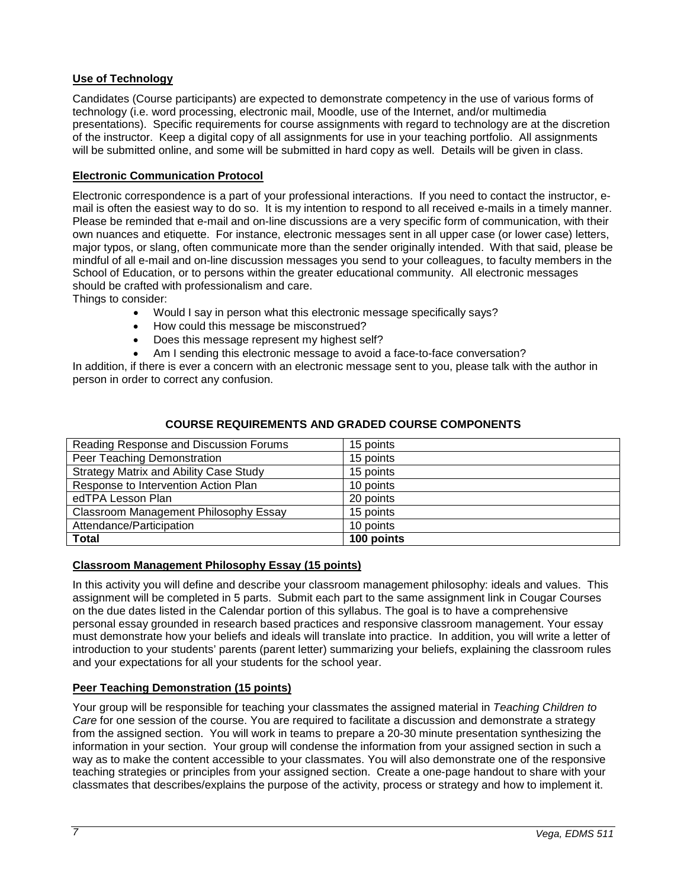## <span id="page-6-0"></span>**Use of Technology**

Candidates (Course participants) are expected to demonstrate competency in the use of various forms of technology (i.e. word processing, electronic mail, Moodle, use of the Internet, and/or multimedia presentations). Specific requirements for course assignments with regard to technology are at the discretion of the instructor. Keep a digital copy of all assignments for use in your teaching portfolio. All assignments will be submitted online, and some will be submitted in hard copy as well. Details will be given in class.

## <span id="page-6-1"></span>**Electronic Communication Protocol**

Electronic correspondence is a part of your professional interactions. If you need to contact the instructor, email is often the easiest way to do so. It is my intention to respond to all received e-mails in a timely manner. Please be reminded that e-mail and on-line discussions are a very specific form of communication, with their own nuances and etiquette. For instance, electronic messages sent in all upper case (or lower case) letters, major typos, or slang, often communicate more than the sender originally intended. With that said, please be mindful of all e-mail and on-line discussion messages you send to your colleagues, to faculty members in the School of Education, or to persons within the greater educational community. All electronic messages should be crafted with professionalism and care.

Things to consider:

- Would I say in person what this electronic message specifically says?
- How could this message be misconstrued?
- Does this message represent my highest self?
- Am I sending this electronic message to avoid a face-to-face conversation?

In addition, if there is ever a concern with an electronic message sent to you, please talk with the author in person in order to correct any confusion.

<span id="page-6-2"></span>

| Reading Response and Discussion Forums | 15 points  |
|----------------------------------------|------------|
| Peer Teaching Demonstration            | 15 points  |
| Strategy Matrix and Ability Case Study | 15 points  |
| Response to Intervention Action Plan   | 10 points  |
| edTPA Lesson Plan                      | 20 points  |
| Classroom Management Philosophy Essay  | 15 points  |
| Attendance/Participation               | 10 points  |
| <b>Total</b>                           | 100 points |

### **COURSE REQUIREMENTS AND GRADED COURSE COMPONENTS**

### <span id="page-6-3"></span>**Classroom Management Philosophy Essay (15 points)**

In this activity you will define and describe your classroom management philosophy: ideals and values. This assignment will be completed in 5 parts. Submit each part to the same assignment link in Cougar Courses on the due dates listed in the Calendar portion of this syllabus. The goal is to have a comprehensive personal essay grounded in research based practices and responsive classroom management. Your essay must demonstrate how your beliefs and ideals will translate into practice. In addition, you will write a letter of introduction to your students' parents (parent letter) summarizing your beliefs, explaining the classroom rules and your expectations for all your students for the school year.

## <span id="page-6-4"></span>**Peer Teaching Demonstration (15 points)**

Your group will be responsible for teaching your classmates the assigned material in *Teaching Children to Care* for one session of the course. You are required to facilitate a discussion and demonstrate a strategy from the assigned section. You will work in teams to prepare a 20-30 minute presentation synthesizing the information in your section. Your group will condense the information from your assigned section in such a way as to make the content accessible to your classmates. You will also demonstrate one of the responsive teaching strategies or principles from your assigned section. Create a one-page handout to share with your classmates that describes/explains the purpose of the activity, process or strategy and how to implement it.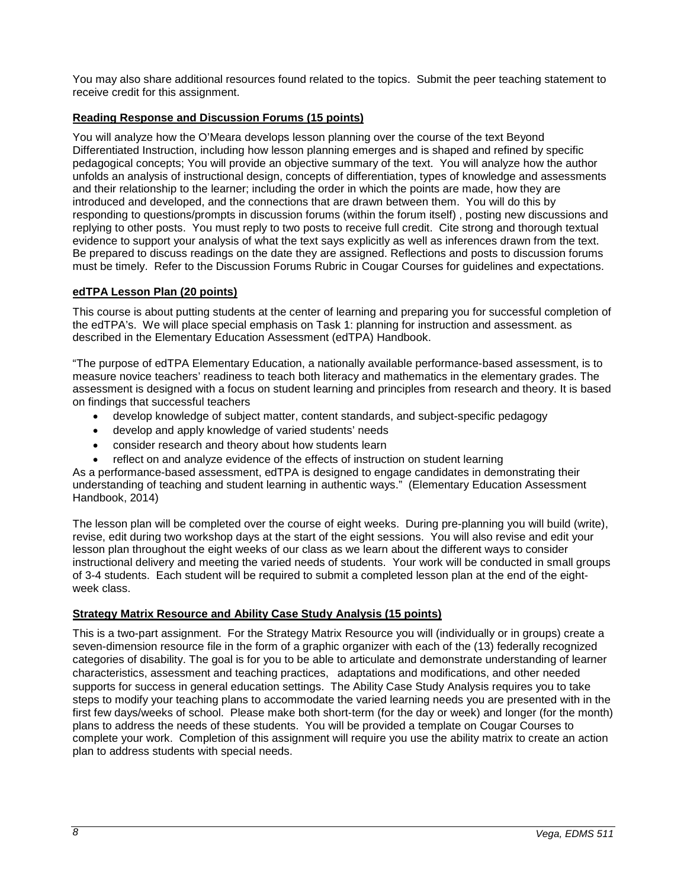You may also share additional resources found related to the topics. Submit the peer teaching statement to receive credit for this assignment.

## <span id="page-7-0"></span>**Reading Response and Discussion Forums (15 points)**

You will analyze how the O'Meara develops lesson planning over the course of the text Beyond Differentiated Instruction, including how lesson planning emerges and is shaped and refined by specific pedagogical concepts; You will provide an objective summary of the text. You will analyze how the author unfolds an analysis of instructional design, concepts of differentiation, types of knowledge and assessments and their relationship to the learner; including the order in which the points are made, how they are introduced and developed, and the connections that are drawn between them. You will do this by responding to questions/prompts in discussion forums (within the forum itself) , posting new discussions and replying to other posts. You must reply to two posts to receive full credit. Cite strong and thorough textual evidence to support your analysis of what the text says explicitly as well as inferences drawn from the text. Be prepared to discuss readings on the date they are assigned. Reflections and posts to discussion forums must be timely. Refer to the Discussion Forums Rubric in Cougar Courses for guidelines and expectations.

# <span id="page-7-1"></span>**edTPA Lesson Plan (20 points)**

This course is about putting students at the center of learning and preparing you for successful completion of the edTPA's. We will place special emphasis on Task 1: planning for instruction and assessment. as described in the Elementary Education Assessment (edTPA) Handbook.

"The purpose of edTPA Elementary Education, a nationally available performance-based assessment, is to measure novice teachers' readiness to teach both literacy and mathematics in the elementary grades. The assessment is designed with a focus on student learning and principles from research and theory. It is based on findings that successful teachers

- develop knowledge of subject matter, content standards, and subject-specific pedagogy
- develop and apply knowledge of varied students' needs
- consider research and theory about how students learn
- reflect on and analyze evidence of the effects of instruction on student learning

As a performance-based assessment, edTPA is designed to engage candidates in demonstrating their understanding of teaching and student learning in authentic ways." (Elementary Education Assessment Handbook, 2014)

The lesson plan will be completed over the course of eight weeks. During pre-planning you will build (write), revise, edit during two workshop days at the start of the eight sessions. You will also revise and edit your lesson plan throughout the eight weeks of our class as we learn about the different ways to consider instructional delivery and meeting the varied needs of students. Your work will be conducted in small groups of 3-4 students. Each student will be required to submit a completed lesson plan at the end of the eightweek class.

# <span id="page-7-2"></span>**Strategy Matrix Resource and Ability Case Study Analysis (15 points)**

This is a two-part assignment. For the Strategy Matrix Resource you will (individually or in groups) create a seven-dimension resource file in the form of a graphic organizer with each of the (13) federally recognized categories of disability. The goal is for you to be able to articulate and demonstrate understanding of learner characteristics, assessment and teaching practices, adaptations and modifications, and other needed supports for success in general education settings. The Ability Case Study Analysis requires you to take steps to modify your teaching plans to accommodate the varied learning needs you are presented with in the first few days/weeks of school. Please make both short-term (for the day or week) and longer (for the month) plans to address the needs of these students. You will be provided a template on Cougar Courses to complete your work. Completion of this assignment will require you use the ability matrix to create an action plan to address students with special needs.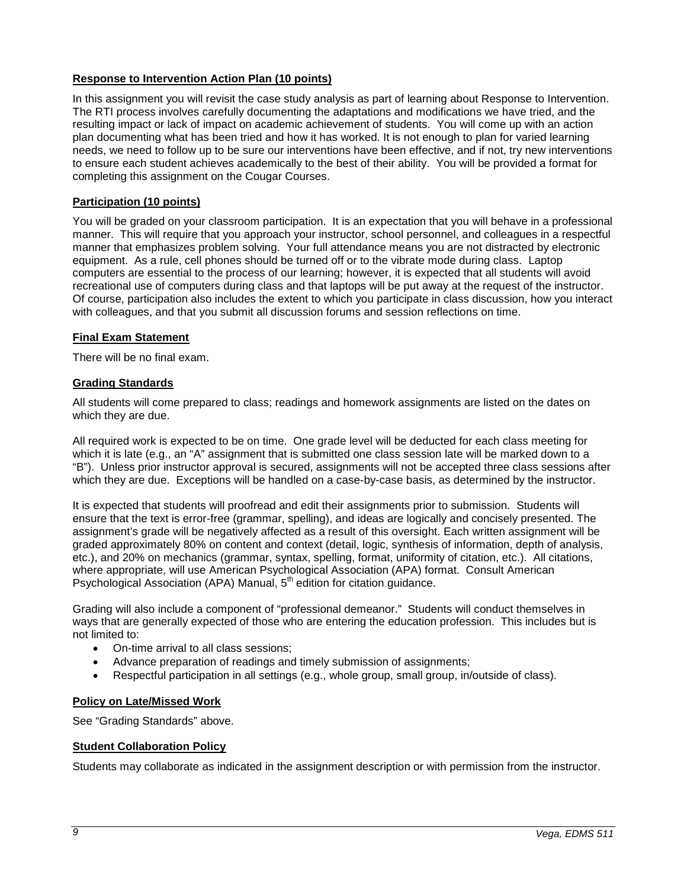## <span id="page-8-0"></span>**Response to Intervention Action Plan (10 points)**

In this assignment you will revisit the case study analysis as part of learning about Response to Intervention. The RTI process involves carefully documenting the adaptations and modifications we have tried, and the resulting impact or lack of impact on academic achievement of students. You will come up with an action plan documenting what has been tried and how it has worked. It is not enough to plan for varied learning needs, we need to follow up to be sure our interventions have been effective, and if not, try new interventions to ensure each student achieves academically to the best of their ability. You will be provided a format for completing this assignment on the Cougar Courses.

## <span id="page-8-1"></span>**Participation (10 points)**

You will be graded on your classroom participation. It is an expectation that you will behave in a professional manner. This will require that you approach your instructor, school personnel, and colleagues in a respectful manner that emphasizes problem solving. Your full attendance means you are not distracted by electronic equipment. As a rule, cell phones should be turned off or to the vibrate mode during class. Laptop computers are essential to the process of our learning; however, it is expected that all students will avoid recreational use of computers during class and that laptops will be put away at the request of the instructor. Of course, participation also includes the extent to which you participate in class discussion, how you interact with colleagues, and that you submit all discussion forums and session reflections on time.

## <span id="page-8-2"></span>**Final Exam Statement**

There will be no final exam.

## <span id="page-8-3"></span>**Grading Standards**

All students will come prepared to class; readings and homework assignments are listed on the dates on which they are due.

All required work is expected to be on time. One grade level will be deducted for each class meeting for which it is late (e.g., an "A" assignment that is submitted one class session late will be marked down to a "B"). Unless prior instructor approval is secured, assignments will not be accepted three class sessions after which they are due. Exceptions will be handled on a case-by-case basis, as determined by the instructor.

It is expected that students will proofread and edit their assignments prior to submission. Students will ensure that the text is error-free (grammar, spelling), and ideas are logically and concisely presented. The assignment's grade will be negatively affected as a result of this oversight. Each written assignment will be graded approximately 80% on content and context (detail, logic, synthesis of information, depth of analysis, etc.), and 20% on mechanics (grammar, syntax, spelling, format, uniformity of citation, etc.). All citations, where appropriate, will use American Psychological Association (APA) format. Consult American Psychological Association (APA) Manual, 5<sup>th</sup> edition for citation guidance.

Grading will also include a component of "professional demeanor." Students will conduct themselves in ways that are generally expected of those who are entering the education profession. This includes but is not limited to:

- On-time arrival to all class sessions;
- Advance preparation of readings and timely submission of assignments;
- Respectful participation in all settings (e.g., whole group, small group, in/outside of class).

### <span id="page-8-4"></span>**Policy on Late/Missed Work**

See "Grading Standards" above.

## <span id="page-8-5"></span>**Student Collaboration Policy**

Students may collaborate as indicated in the assignment description or with permission from the instructor.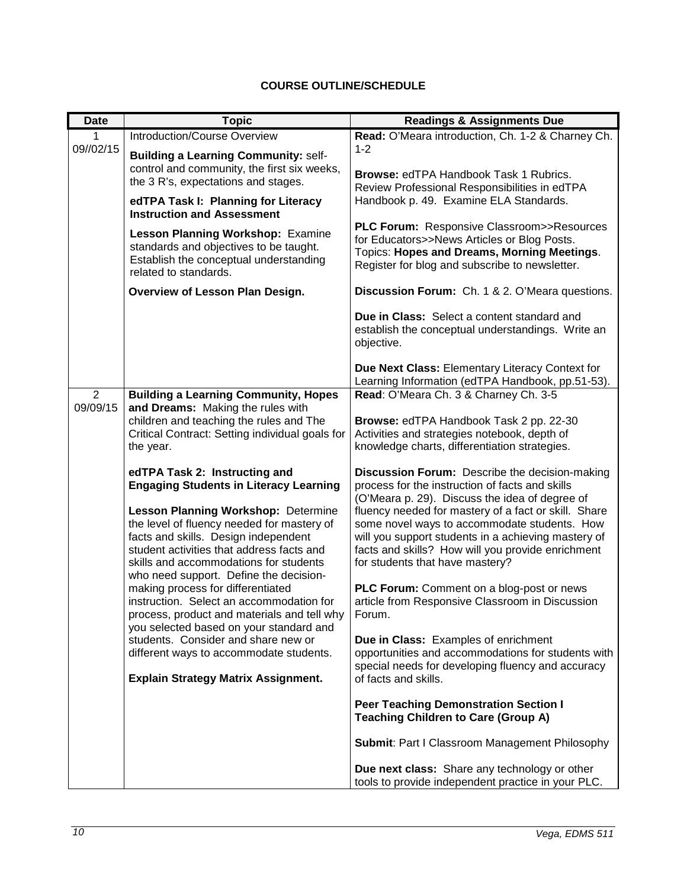# **COURSE OUTLINE/SCHEDULE**

<span id="page-9-0"></span>

| <b>Date</b>    | <b>Topic</b>                                                                                                                                                                                                                                                                                                                                 | <b>Readings &amp; Assignments Due</b>                                                                                                                                                                                                                                                                                                                                                                      |
|----------------|----------------------------------------------------------------------------------------------------------------------------------------------------------------------------------------------------------------------------------------------------------------------------------------------------------------------------------------------|------------------------------------------------------------------------------------------------------------------------------------------------------------------------------------------------------------------------------------------------------------------------------------------------------------------------------------------------------------------------------------------------------------|
| 1              | Introduction/Course Overview                                                                                                                                                                                                                                                                                                                 | Read: O'Meara introduction, Ch. 1-2 & Charney Ch.                                                                                                                                                                                                                                                                                                                                                          |
| 09//02/15      | <b>Building a Learning Community: self-</b><br>control and community, the first six weeks,<br>the 3 R's, expectations and stages.<br>edTPA Task I: Planning for Literacy                                                                                                                                                                     | $1 - 2$<br>Browse: edTPA Handbook Task 1 Rubrics.<br>Review Professional Responsibilities in edTPA<br>Handbook p. 49. Examine ELA Standards.                                                                                                                                                                                                                                                               |
|                | <b>Instruction and Assessment</b><br>Lesson Planning Workshop: Examine<br>standards and objectives to be taught.<br>Establish the conceptual understanding<br>related to standards.                                                                                                                                                          | <b>PLC Forum: Responsive Classroom&gt;&gt;Resources</b><br>for Educators>>News Articles or Blog Posts.<br>Topics: Hopes and Dreams, Morning Meetings.<br>Register for blog and subscribe to newsletter.                                                                                                                                                                                                    |
|                | Overview of Lesson Plan Design.                                                                                                                                                                                                                                                                                                              | Discussion Forum: Ch. 1 & 2. O'Meara questions.                                                                                                                                                                                                                                                                                                                                                            |
|                |                                                                                                                                                                                                                                                                                                                                              | Due in Class: Select a content standard and<br>establish the conceptual understandings. Write an<br>objective.                                                                                                                                                                                                                                                                                             |
|                |                                                                                                                                                                                                                                                                                                                                              | Due Next Class: Elementary Literacy Context for<br>Learning Information (edTPA Handbook, pp.51-53).                                                                                                                                                                                                                                                                                                        |
| $\overline{2}$ | <b>Building a Learning Community, Hopes</b>                                                                                                                                                                                                                                                                                                  | Read: O'Meara Ch. 3 & Charney Ch. 3-5                                                                                                                                                                                                                                                                                                                                                                      |
| 09/09/15       | and Dreams: Making the rules with<br>children and teaching the rules and The<br>Critical Contract: Setting individual goals for<br>the year.                                                                                                                                                                                                 | Browse: edTPA Handbook Task 2 pp. 22-30<br>Activities and strategies notebook, depth of<br>knowledge charts, differentiation strategies.                                                                                                                                                                                                                                                                   |
|                | edTPA Task 2: Instructing and<br><b>Engaging Students in Literacy Learning</b><br>Lesson Planning Workshop: Determine<br>the level of fluency needed for mastery of<br>facts and skills. Design independent<br>student activities that address facts and<br>skills and accommodations for students<br>who need support. Define the decision- | Discussion Forum: Describe the decision-making<br>process for the instruction of facts and skills<br>(O'Meara p. 29). Discuss the idea of degree of<br>fluency needed for mastery of a fact or skill. Share<br>some novel ways to accommodate students. How<br>will you support students in a achieving mastery of<br>facts and skills? How will you provide enrichment<br>for students that have mastery? |
|                | making process for differentiated<br>instruction. Select an accommodation for<br>process, product and materials and tell why<br>you selected based on your standard and<br>students. Consider and share new or<br>different ways to accommodate students.<br><b>Explain Strategy Matrix Assignment.</b>                                      | PLC Forum: Comment on a blog-post or news<br>article from Responsive Classroom in Discussion<br>Forum.                                                                                                                                                                                                                                                                                                     |
|                |                                                                                                                                                                                                                                                                                                                                              | Due in Class: Examples of enrichment<br>opportunities and accommodations for students with<br>special needs for developing fluency and accuracy<br>of facts and skills.                                                                                                                                                                                                                                    |
|                |                                                                                                                                                                                                                                                                                                                                              | <b>Peer Teaching Demonstration Section I</b><br><b>Teaching Children to Care (Group A)</b>                                                                                                                                                                                                                                                                                                                 |
|                |                                                                                                                                                                                                                                                                                                                                              | <b>Submit: Part I Classroom Management Philosophy</b>                                                                                                                                                                                                                                                                                                                                                      |
|                |                                                                                                                                                                                                                                                                                                                                              | Due next class: Share any technology or other<br>tools to provide independent practice in your PLC.                                                                                                                                                                                                                                                                                                        |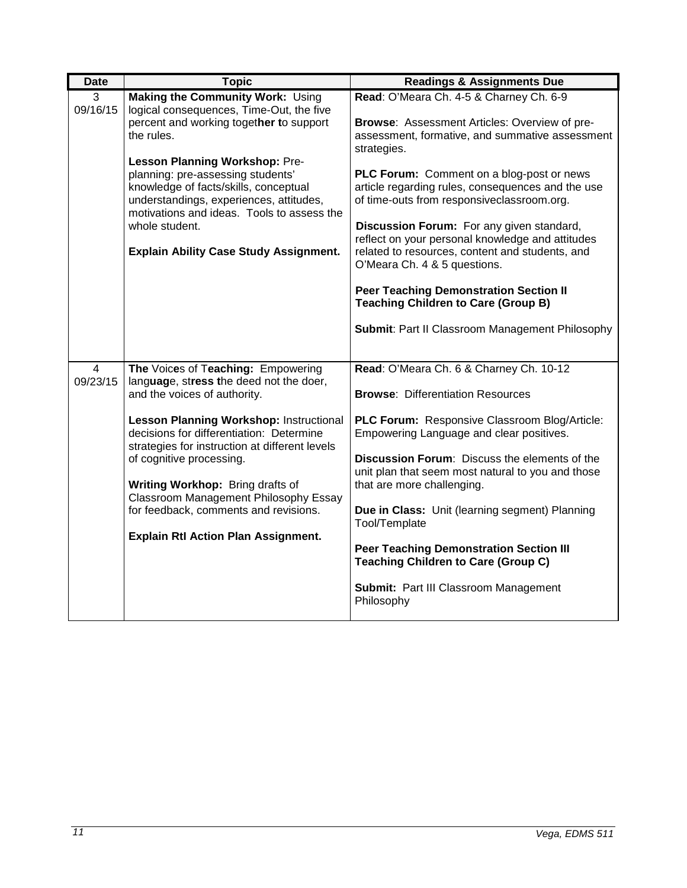| <b>Date</b>   | <b>Topic</b>                                                                                                                                                                                                                                                                                                                                                                                                                                           | <b>Readings &amp; Assignments Due</b>                                                                                                                                                                                                                                                                                                                                                                                                                                                                                                                                                                                                                   |
|---------------|--------------------------------------------------------------------------------------------------------------------------------------------------------------------------------------------------------------------------------------------------------------------------------------------------------------------------------------------------------------------------------------------------------------------------------------------------------|---------------------------------------------------------------------------------------------------------------------------------------------------------------------------------------------------------------------------------------------------------------------------------------------------------------------------------------------------------------------------------------------------------------------------------------------------------------------------------------------------------------------------------------------------------------------------------------------------------------------------------------------------------|
| 3<br>09/16/15 | Making the Community Work: Using<br>logical consequences, Time-Out, the five<br>percent and working together to support<br>the rules.<br>Lesson Planning Workshop: Pre-<br>planning: pre-assessing students'<br>knowledge of facts/skills, conceptual<br>understandings, experiences, attitudes,<br>motivations and ideas. Tools to assess the<br>whole student.<br><b>Explain Ability Case Study Assignment.</b>                                      | Read: O'Meara Ch. 4-5 & Charney Ch. 6-9<br><b>Browse: Assessment Articles: Overview of pre-</b><br>assessment, formative, and summative assessment<br>strategies.<br>PLC Forum: Comment on a blog-post or news<br>article regarding rules, consequences and the use<br>of time-outs from responsiveclassroom.org.<br>Discussion Forum: For any given standard,<br>reflect on your personal knowledge and attitudes<br>related to resources, content and students, and<br>O'Meara Ch. 4 & 5 questions.<br><b>Peer Teaching Demonstration Section II</b><br><b>Teaching Children to Care (Group B)</b><br>Submit: Part II Classroom Management Philosophy |
| 4<br>09/23/15 | The Voices of Teaching: Empowering<br>language, stress the deed not the doer,<br>and the voices of authority.<br>Lesson Planning Workshop: Instructional<br>decisions for differentiation: Determine<br>strategies for instruction at different levels<br>of cognitive processing.<br>Writing Workhop: Bring drafts of<br>Classroom Management Philosophy Essay<br>for feedback, comments and revisions.<br><b>Explain Rtl Action Plan Assignment.</b> | Read: O'Meara Ch. 6 & Charney Ch. 10-12<br><b>Browse: Differentiation Resources</b><br>PLC Forum: Responsive Classroom Blog/Article:<br>Empowering Language and clear positives.<br>Discussion Forum: Discuss the elements of the<br>unit plan that seem most natural to you and those<br>that are more challenging.<br>Due in Class: Unit (learning segment) Planning<br>Tool/Template<br><b>Peer Teaching Demonstration Section III</b><br><b>Teaching Children to Care (Group C)</b><br>Submit: Part III Classroom Management<br>Philosophy                                                                                                          |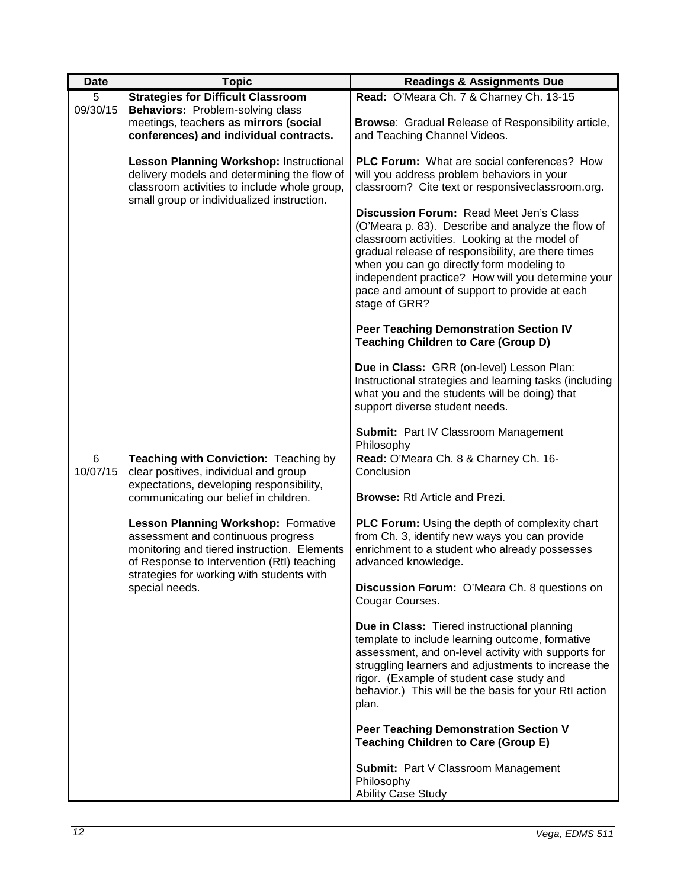| <b>Date</b>   | <b>Topic</b>                                                                                                                                                                                                                                 | <b>Readings &amp; Assignments Due</b>                                                                                                                                                                                                                                                                                                                                   |
|---------------|----------------------------------------------------------------------------------------------------------------------------------------------------------------------------------------------------------------------------------------------|-------------------------------------------------------------------------------------------------------------------------------------------------------------------------------------------------------------------------------------------------------------------------------------------------------------------------------------------------------------------------|
| 5<br>09/30/15 | <b>Strategies for Difficult Classroom</b><br><b>Behaviors: Problem-solving class</b>                                                                                                                                                         | Read: O'Meara Ch. 7 & Charney Ch. 13-15                                                                                                                                                                                                                                                                                                                                 |
|               | meetings, teachers as mirrors (social<br>conferences) and individual contracts.                                                                                                                                                              | <b>Browse:</b> Gradual Release of Responsibility article,<br>and Teaching Channel Videos.                                                                                                                                                                                                                                                                               |
|               | <b>Lesson Planning Workshop: Instructional</b><br>delivery models and determining the flow of<br>classroom activities to include whole group,<br>small group or individualized instruction.                                                  | <b>PLC Forum:</b> What are social conferences? How<br>will you address problem behaviors in your<br>classroom? Cite text or responsiveclassroom.org.                                                                                                                                                                                                                    |
|               |                                                                                                                                                                                                                                              | Discussion Forum: Read Meet Jen's Class<br>(O'Meara p. 83). Describe and analyze the flow of<br>classroom activities. Looking at the model of<br>gradual release of responsibility, are there times<br>when you can go directly form modeling to<br>independent practice? How will you determine your<br>pace and amount of support to provide at each<br>stage of GRR? |
|               |                                                                                                                                                                                                                                              | <b>Peer Teaching Demonstration Section IV</b><br><b>Teaching Children to Care (Group D)</b>                                                                                                                                                                                                                                                                             |
|               |                                                                                                                                                                                                                                              | Due in Class: GRR (on-level) Lesson Plan:<br>Instructional strategies and learning tasks (including<br>what you and the students will be doing) that<br>support diverse student needs.                                                                                                                                                                                  |
|               |                                                                                                                                                                                                                                              | Submit: Part IV Classroom Management<br>Philosophy                                                                                                                                                                                                                                                                                                                      |
| 6<br>10/07/15 | Teaching with Conviction: Teaching by<br>clear positives, individual and group<br>expectations, developing responsibility,<br>communicating our belief in children.                                                                          | Read: O'Meara Ch. 8 & Charney Ch. 16-<br>Conclusion<br><b>Browse: Rtl Article and Prezi.</b>                                                                                                                                                                                                                                                                            |
|               | <b>Lesson Planning Workshop: Formative</b><br>assessment and continuous progress<br>monitoring and tiered instruction. Elements<br>of Response to Intervention (RtI) teaching<br>strategies for working with students with<br>special needs. | PLC Forum: Using the depth of complexity chart<br>from Ch. 3, identify new ways you can provide<br>enrichment to a student who already possesses<br>advanced knowledge.                                                                                                                                                                                                 |
|               |                                                                                                                                                                                                                                              | Discussion Forum: O'Meara Ch. 8 questions on<br>Cougar Courses.                                                                                                                                                                                                                                                                                                         |
|               |                                                                                                                                                                                                                                              | Due in Class: Tiered instructional planning<br>template to include learning outcome, formative<br>assessment, and on-level activity with supports for<br>struggling learners and adjustments to increase the<br>rigor. (Example of student case study and<br>behavior.) This will be the basis for your Rtl action<br>plan.                                             |
|               |                                                                                                                                                                                                                                              | <b>Peer Teaching Demonstration Section V</b><br><b>Teaching Children to Care (Group E)</b>                                                                                                                                                                                                                                                                              |
|               |                                                                                                                                                                                                                                              | Submit: Part V Classroom Management<br>Philosophy<br><b>Ability Case Study</b>                                                                                                                                                                                                                                                                                          |